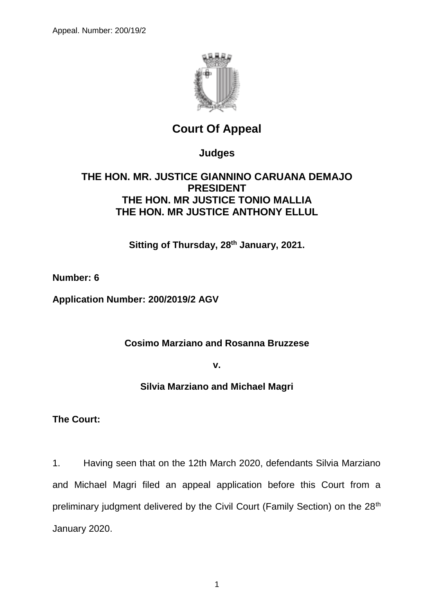

# **Court Of Appeal**

**Judges**

# **THE HON. MR. JUSTICE GIANNINO CARUANA DEMAJO PRESIDENT THE HON. MR JUSTICE TONIO MALLIA THE HON. MR JUSTICE ANTHONY ELLUL**

**Sitting of Thursday, 28th January, 2021.**

**Number: 6**

**Application Number: 200/2019/2 AGV**

**Cosimo Marziano and Rosanna Bruzzese**

**v.**

**Silvia Marziano and Michael Magri**

**The Court:**

1. Having seen that on the 12th March 2020, defendants Silvia Marziano and Michael Magri filed an appeal application before this Court from a preliminary judgment delivered by the Civil Court (Family Section) on the 28<sup>th</sup> January 2020.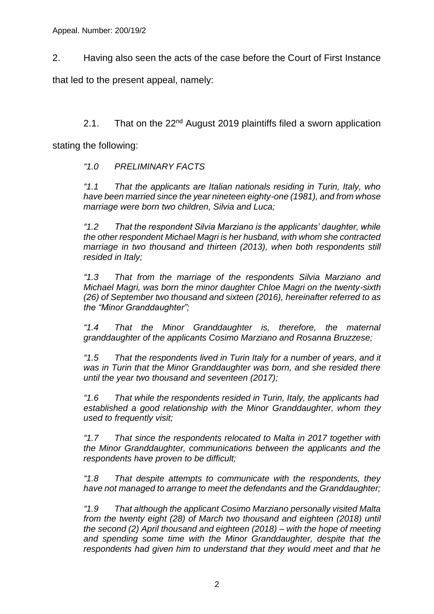2. Having also seen the acts of the case before the Court of First Instance

that led to the present appeal, namely:

2.1. That on the  $22<sup>nd</sup>$  August 2019 plaintiffs filed a sworn application

stating the following:

*"1.0 PRELIMINARY FACTS*

*"1.1 That the applicants are Italian nationals residing in Turin, Italy, who have been married since the year nineteen eighty-one (1981), and from whose marriage were born two children, Silvia and Luca;*

*"1.2 That the respondent Silvia Marziano is the applicants' daughter, while the other respondent Michael Magri is her husband, with whom she contracted marriage in two thousand and thirteen (2013), when both respondents still resided in Italy;*

*"1.3 That from the marriage of the respondents Silvia Marziano and Michael Magri, was born the minor daughter Chloe Magri on the twenty-sixth (26) of September two thousand and sixteen (2016), hereinafter referred to as the "Minor Granddaughter";*

*"1.4 That the Minor Granddaughter is, therefore, the maternal granddaughter of the applicants Cosimo Marziano and Rosanna Bruzzese;*

*"1.5 That the respondents lived in Turin Italy for a number of years, and it was in Turin that the Minor Granddaughter was born, and she resided there until the year two thousand and seventeen (2017);*

*"1.6 That while the respondents resided in Turin, Italy, the applicants had established a good relationship with the Minor Granddaughter, whom they used to frequently visit;*

*"1.7 That since the respondents relocated to Malta in 2017 together with the Minor Granddaughter, communications between the applicants and the respondents have proven to be difficult;*

*"1.8 That despite attempts to communicate with the respondents, they have not managed to arrange to meet the defendants and the Granddaughter;*

*"1.9 That although the applicant Cosimo Marziano personally visited Malta from the twenty eight (28) of March two thousand and eighteen (2018) until the second (2) April thousand and eighteen (2018) – with the hope of meeting and spending some time with the Minor Granddaughter, despite that the respondents had given him to understand that they would meet and that he*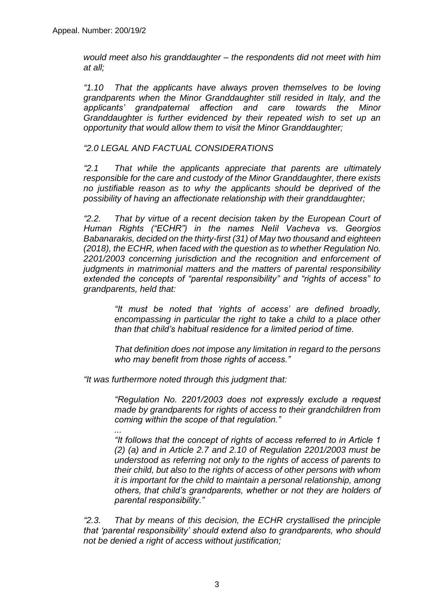*would meet also his granddaughter – the respondents did not meet with him at all;*

*"1.10 That the applicants have always proven themselves to be loving grandparents when the Minor Granddaughter still resided in Italy, and the applicants' grandpaternal affection and care towards the Minor Granddaughter is further evidenced by their repeated wish to set up an opportunity that would allow them to visit the Minor Granddaughter;*

#### *"2.0 LEGAL AND FACTUAL CONSIDERATIONS*

*"2.1 That while the applicants appreciate that parents are ultimately responsible for the care and custody of the Minor Granddaughter, there exists no justifiable reason as to why the applicants should be deprived of the possibility of having an affectionate relationship with their granddaughter;*

*"2.2. That by virtue of a recent decision taken by the European Court of Human Rights ("ECHR") in the names NeIil Vacheva vs. Georgios Babanarakis, decided on the thirty-first (31) of May two thousand and eighteen (2018), the ECHR, when faced with the question as to whether Regulation No. 2201/2003 concerning jurisdiction and the recognition and enforcement of judgments in matrimonial matters and the matters of parental responsibility extended the concepts of "parental responsibility" and "rights of access" to grandparents, held that:*

> *"It must be noted that 'rights of access' are defined broadly, encompassing in particular the right to take a child to a place other than that child's habitual residence for a limited period of time.*

> *That definition does not impose any limitation in regard to the persons who may benefit from those rights of access."*

*"It was furthermore noted through this judgment that:*

*"Regulation No. 2201/2003 does not expressly exclude a request made by grandparents for rights of access to their grandchildren from coming within the scope of that regulation."*

*... "It follows that the concept of rights of access referred to in Article 1 (2) (a) and in Article 2.7 and 2.10 of Regulation 2201/2003 must be understood as referring not only to the rights of access of parents to their child, but also to the rights of access of other persons with whom it is important for the child to maintain a personal relationship, among others, that child's grandparents, whether or not they are holders of parental responsibility."*

*"2.3. That by means of this decision, the ECHR crystallised the principle that 'parental responsibility' should extend also to grandparents, who should not be denied a right of access without justification;*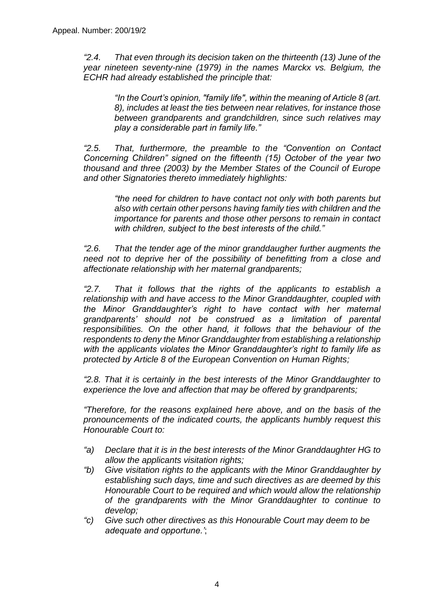*"2.4. That even through its decision taken on the thirteenth (13) June of the year nineteen seventy-nine (1979) in the names Marckx vs. Belgium, the ECHR had already established the principle that:*

> *"In the Court's opinion, "family life", within the meaning of Article 8 (art. 8), includes at least the ties between near relatives, for instance those between grandparents and grandchildren, since such relatives may play a considerable part in family life."*

*"2.5. That, furthermore, the preamble to the "Convention on Contact Concerning Children" signed on the fifteenth (15) October of the year two thousand and three (2003) by the Member States of the Council of Europe and other Signatories thereto immediately highlights:*

> *"the need for children to have contact not only with both parents but also with certain other persons having family ties with children and the importance for parents and those other persons to remain in contact with children, subject to the best interests of the child."*

*"2.6. That the tender age of the minor granddaugher further augments the need not to deprive her of the possibility of benefitting from a close and affectionate relationship with her maternal grandparents;*

*"2.7. That it follows that the rights of the applicants to establish a relationship with and have access to the Minor Granddaughter, coupled with the Minor Granddaughter's right to have contact with her maternal grandparents' should not be construed as a limitation of parental responsibilities. On the other hand, it follows that the behaviour of the respondents to deny the Minor Granddaughter from establishing a relationship with the applicants violates the Minor Granddaughter's right to family life as protected by Article 8 of the European Convention on Human Rights;*

*"2.8. That it is certainly in the best interests of the Minor Granddaughter to experience the love and affection that may be offered by grandparents;*

*"Therefore, for the reasons explained here above, and on the basis of the pronouncements of the indicated courts, the applicants humbly request this Honourable Court to:*

- *"a) Declare that it is in the best interests of the Minor Granddaughter HG to allow the applicants visitation rights;*
- *"b) Give visitation rights to the applicants with the Minor Granddaughter by establishing such days, time and such directives as are deemed by this Honourable Court to be required and which would allow the relationship of the grandparents with the Minor Granddaughter to continue to develop;*
- *"c) Give such other directives as this Honourable Court may deem to be adequate and opportune.'*;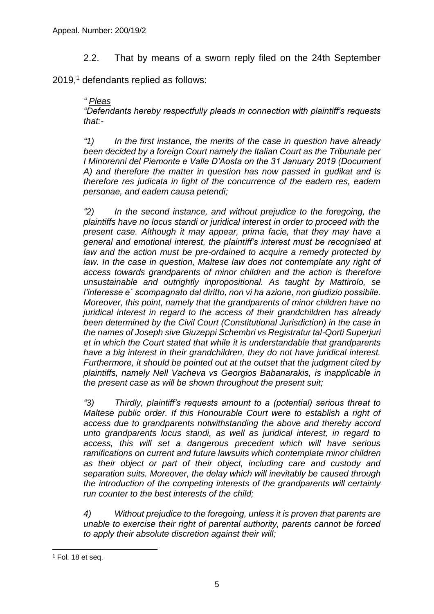2.2. That by means of a sworn reply filed on the 24th September

 $2019<sup>1</sup>$  defendants replied as follows:

#### *" Pleas*

*"Defendants hereby respectfully pleads in connection with plaintiff's requests that:-*

*"1) In the first instance, the merits of the case in question have already been decided by a foreign Court namely the Italian Court as the Tribunale per I Minorenni del Piemonte e Valle D'Aosta on the 31 January 2019 (Document A) and therefore the matter in question has now passed in gudikat and is therefore res judicata in light of the concurrence of the eadem res, eadem personae, and eadem causa petendi;*

*"2) In the second instance, and without prejudice to the foregoing, the plaintiffs have no locus standi or juridical interest in order to proceed with the present case. Although it may appear, prima facie, that they may have a general and emotional interest, the plaintiff's interest must be recognised at law and the action must be pre-ordained to acquire a remedy protected by*  law. In the case in question, Maltese law does not contemplate any right of *access towards grandparents of minor children and the action is therefore unsustainable and outrightly inpropositional. As taught by Mattirolo, se l'interesse e` scompagnato dal diritto, non vi ha azione, non giudizio possibile. Moreover, this point, namely that the grandparents of minor children have no juridical interest in regard to the access of their grandchildren has already been determined by the Civil Court (Constitutional Jurisdiction) in the case in the names of Joseph sive Giuzeppi Schembri vs Registratur tal-Qorti Superjuri et in which the Court stated that while it is understandable that grandparents have a big interest in their grandchildren, they do not have juridical interest. Furthermore, it should be pointed out at the outset that the judgment cited by plaintiffs, namely Nell Vacheva vs Georgios Babanarakis, is inapplicable in the present case as will be shown throughout the present suit;*

*"3) Thirdly, plaintiff's requests amount to a (potential) serious threat to Maltese public order. If this Honourable Court were to establish a right of access due to grandparents notwithstanding the above and thereby accord unto grandparents locus standi, as well as juridical interest, in regard to access, this will set a dangerous precedent which will have serious ramifications on current and future lawsuits which contemplate minor children as their object or part of their object, including care and custody and separation suits. Moreover, the delay which will inevitably be caused through the introduction of the competing interests of the grandparents will certainly run counter to the best interests of the child;*

*4) Without prejudice to the foregoing, unless it is proven that parents are unable to exercise their right of parental authority, parents cannot be forced to apply their absolute discretion against their will;*

 $\overline{a}$ 

 $1$  Fol. 18 et seq.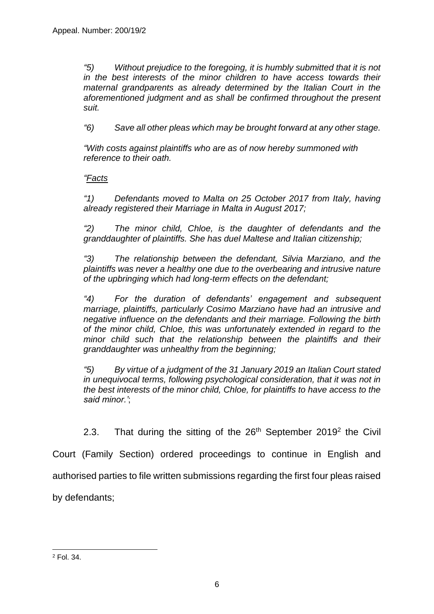*"5) Without prejudice to the foregoing, it is humbly submitted that it is not in the best interests of the minor children to have access towards their maternal grandparents as already determined by the Italian Court in the aforementioned judgment and as shall be confirmed throughout the present suit.*

*"6) Save all other pleas which may be brought forward at any other stage.*

*"With costs against plaintiffs who are as of now hereby summoned with reference to their oath.*

*"Facts*

*"1) Defendants moved to Malta on 25 October 2017 from Italy, having already registered their Marriage in Malta in August 2017;*

*"2) The minor child, Chloe, is the daughter of defendants and the granddaughter of plaintiffs. She has duel Maltese and Italian citizenship;*

*"3) The relationship between the defendant, Silvia Marziano, and the plaintiffs was never a healthy one due to the overbearing and intrusive nature of the upbringing which had long-term effects on the defendant;*

*"4) For the duration of defendants' engagement and subsequent marriage, plaintiffs, particularly Cosimo Marziano have had an intrusive and negative influence on the defendants and their marriage. Following the birth of the minor child, Chloe, this was unfortunately extended in regard to the minor child such that the relationship between the plaintiffs and their granddaughter was unhealthy from the beginning;*

*"5) By virtue of a judgment of the 31 January 2019 an Italian Court stated in unequivocal terms, following psychological consideration, that it was not in the best interests of the minor child, Chloe, for plaintiffs to have access to the said minor.'*;

2.3. That during the sitting of the  $26<sup>th</sup>$  September 2019<sup>2</sup> the Civil

Court (Family Section) ordered proceedings to continue in English and

authorised parties to file written submissions regarding the first four pleas raised

by defendants;

 $\overline{a}$ 

<sup>2</sup> Fol. 34.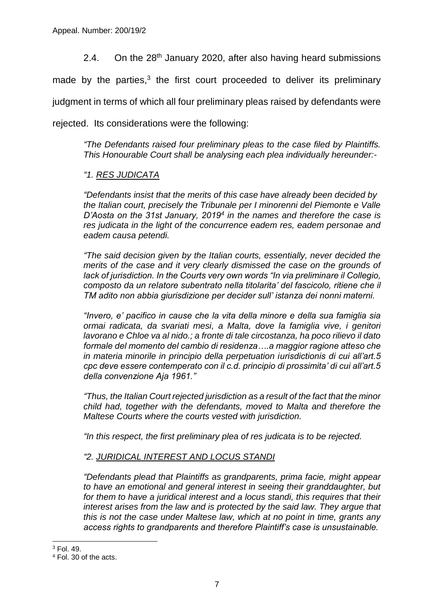2.4. On the 28<sup>th</sup> January 2020, after also having heard submissions

made by the parties, $3$  the first court proceeded to deliver its preliminary

judgment in terms of which all four preliminary pleas raised by defendants were

rejected. Its considerations were the following:

*"The Defendants raised four preliminary pleas to the case filed by Plaintiffs. This Honourable Court shall be analysing each plea individually hereunder:-*

## *"1. RES JUDICATA*

*"Defendants insist that the merits of this case have already been decided by the Italian court, precisely the Tribunale per I minorenni del Piemonte e Valle D'Aosta on the 31st January, 2019<sup>4</sup> in the names and therefore the case is res judicata in the light of the concurrence eadem res, eadem personae and eadem causa petendi.*

*"The said decision given by the Italian courts, essentially, never decided the merits of the case and it very clearly dismissed the case on the grounds of lack of jurisdiction. In the Courts very own words "In via preliminare il Collegio, composto da un relatore subentrato nella titolarita' del fascicolo, ritiene che il TM adito non abbia giurisdizione per decider sull' istanza dei nonni materni.*

*"Invero, e' pacifico in cause che la vita della minore e della sua famiglia sia ormai radicata, da svariati mesi, a Malta, dove la famiglia vive, i genitori lavorano e Chloe va al nido.; a fronte di tale circostanza, ha poco rilievo il dato formale del momento del cambio di residenza….a maggior ragione atteso che in materia minorile in principio della perpetuation iurisdictionis di cui all'art.5 cpc deve essere contemperato con il c.d. principio di prossimita' di cui all'art.5 della convenzione Aja 1961."*

*"Thus, the Italian Court rejected jurisdiction as a result of the fact that the minor child had, together with the defendants, moved to Malta and therefore the Maltese Courts where the courts vested with jurisdiction.* 

*"In this respect, the first preliminary plea of res judicata is to be rejected.*

### *"2. JURIDICAL INTEREST AND LOCUS STANDI*

*"Defendants plead that Plaintiffs as grandparents, prima facie, might appear to have an emotional and general interest in seeing their granddaughter, but for them to have a juridical interest and a locus standi, this requires that their interest arises from the law and is protected by the said law. They argue that this is not the case under Maltese law, which at no point in time, grants any access rights to grandparents and therefore Plaintiff's case is unsustainable.*

<sup>-</sup><sup>3</sup> Fol. 49.

<sup>4</sup> Fol. 30 of the acts.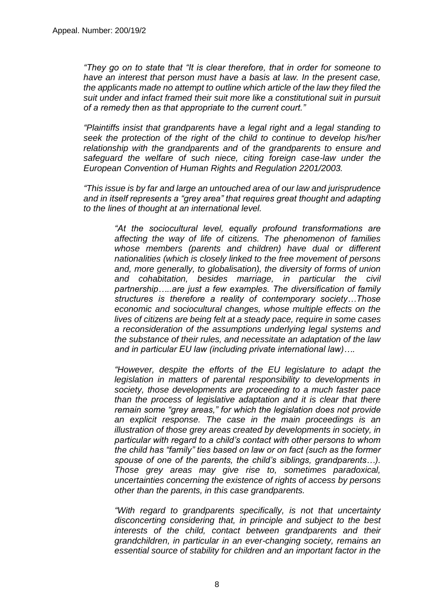*"They go on to state that "It is clear therefore, that in order for someone to have an interest that person must have a basis at law. In the present case, the applicants made no attempt to outline which article of the law they filed the suit under and infact framed their suit more like a constitutional suit in pursuit of a remedy then as that appropriate to the current court."*

*"Plaintiffs insist that grandparents have a legal right and a legal standing to seek the protection of the right of the child to continue to develop his/her relationship with the grandparents and of the grandparents to ensure and safeguard the welfare of such niece, citing foreign case-law under the European Convention of Human Rights and Regulation 2201/2003.*

*"This issue is by far and large an untouched area of our law and jurisprudence and in itself represents a "grey area" that requires great thought and adapting to the lines of thought at an international level.*

> *"At the sociocultural level, equally profound transformations are affecting the way of life of citizens. The phenomenon of families whose members (parents and children) have dual or different nationalities (which is closely linked to the free movement of persons and, more generally, to globalisation), the diversity of forms of union and cohabitation, besides marriage, in particular the civil partnership…..are just a few examples. The diversification of family structures is therefore a reality of contemporary society…Those economic and sociocultural changes, whose multiple effects on the lives of citizens are being felt at a steady pace, require in some cases a reconsideration of the assumptions underlying legal systems and the substance of their rules, and necessitate an adaptation of the law and in particular EU law (including private international law)….*

> *"However, despite the efforts of the EU legislature to adapt the legislation in matters of parental responsibility to developments in society, those developments are proceeding to a much faster pace than the process of legislative adaptation and it is clear that there remain some "grey areas," for which the legislation does not provide an explicit response. The case in the main proceedings is an illustration of those grey areas created by developments in society, in particular with regard to a child's contact with other persons to whom the child has "family" ties based on law or on fact (such as the former spouse of one of the parents, the child's siblings, grandparents…). Those grey areas may give rise to, sometimes paradoxical, uncertainties concerning the existence of rights of access by persons other than the parents, in this case grandparents.*

> *"With regard to grandparents specifically, is not that uncertainty disconcerting considering that, in principle and subject to the best interests of the child, contact between grandparents and their grandchildren, in particular in an ever-changing society, remains an essential source of stability for children and an important factor in the*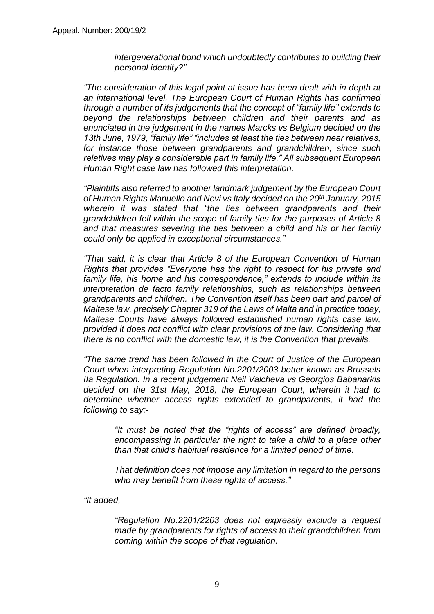*intergenerational bond which undoubtedly contributes to building their personal identity?"*

*"The consideration of this legal point at issue has been dealt with in depth at an international level. The European Court of Human Rights has confirmed through a number of its judgements that the concept of "family life" extends to beyond the relationships between children and their parents and as enunciated in the judgement in the names Marcks vs Belgium decided on the 13th June, 1979, "family life" "includes at least the ties between near relatives, for instance those between grandparents and grandchildren, since such relatives may play a considerable part in family life." All subsequent European Human Right case law has followed this interpretation.*

*"Plaintiffs also referred to another landmark judgement by the European Court of Human Rights Manuello and Nevi vs Italy decided on the 20th January, 2015 wherein it was stated that "the ties between grandparents and their grandchildren fell within the scope of family ties for the purposes of Article 8 and that measures severing the ties between a child and his or her family could only be applied in exceptional circumstances."*

*"That said, it is clear that Article 8 of the European Convention of Human Rights that provides "Everyone has the right to respect for his private and family life, his home and his correspondence," extends to include within its interpretation de facto family relationships, such as relationships between grandparents and children. The Convention itself has been part and parcel of Maltese law, precisely Chapter 319 of the Laws of Malta and in practice today, Maltese Courts have always followed established human rights case law, provided it does not conflict with clear provisions of the law. Considering that there is no conflict with the domestic law, it is the Convention that prevails.*

*"The same trend has been followed in the Court of Justice of the European Court when interpreting Regulation No.2201/2003 better known as Brussels IIa Regulation. In a recent judgement Neil Valcheva vs Georgios Babanarkis decided on the 31st May, 2018, the European Court, wherein it had to determine whether access rights extended to grandparents, it had the following to say:-*

> *"It must be noted that the "rights of access" are defined broadly, encompassing in particular the right to take a child to a place other than that child's habitual residence for a limited period of time.*

> *That definition does not impose any limitation in regard to the persons who may benefit from these rights of access."*

*"It added,*

*"Regulation No.2201/2203 does not expressly exclude a request made by grandparents for rights of access to their grandchildren from coming within the scope of that regulation.*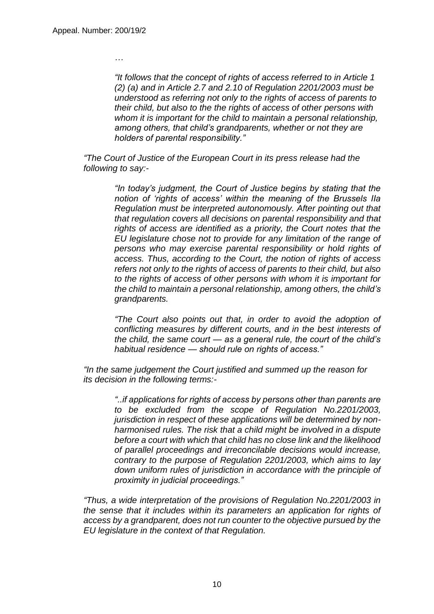*…*

*"It follows that the concept of rights of access referred to in Article 1 (2) (a) and in Article 2.7 and 2.10 of Regulation 2201/2003 must be understood as referring not only to the rights of access of parents to their child, but also to the the rights of access of other persons with whom it is important for the child to maintain a personal relationship, among others, that child's grandparents, whether or not they are holders of parental responsibility."*

*"The Court of Justice of the European Court in its press release had the following to say:-*

> *"In today's judgment, the Court of Justice begins by stating that the notion of 'rights of access' within the meaning of the Brussels IIa Regulation must be interpreted autonomously. After pointing out that that regulation covers all decisions on parental responsibility and that rights of access are identified as a priority, the Court notes that the EU legislature chose not to provide for any limitation of the range of persons who may exercise parental responsibility or hold rights of access. Thus, according to the Court, the notion of rights of access refers not only to the rights of access of parents to their child, but also to the rights of access of other persons with whom it is important for the child to maintain a personal relationship, among others, the child's grandparents.*

> *"The Court also points out that, in order to avoid the adoption of conflicting measures by different courts, and in the best interests of the child, the same court — as a general rule, the court of the child's habitual residence — should rule on rights of access."*

*"In the same judgement the Court justified and summed up the reason for its decision in the following terms:-*

> *"..if applications for rights of access by persons other than parents are to be excluded from the scope of Regulation No.2201/2003, jurisdiction in respect of these applications will be determined by nonharmonised rules. The risk that a child might be involved in a dispute before a court with which that child has no close link and the likelihood of parallel proceedings and irreconcilable decisions would increase, contrary to the purpose of Regulation 2201/2003, which aims to lay down uniform rules of jurisdiction in accordance with the principle of proximity in judicial proceedings."*

*"Thus, a wide interpretation of the provisions of Regulation No.2201/2003 in the sense that it includes within its parameters an application for rights of access by a grandparent, does not run counter to the objective pursued by the EU legislature in the context of that Regulation.*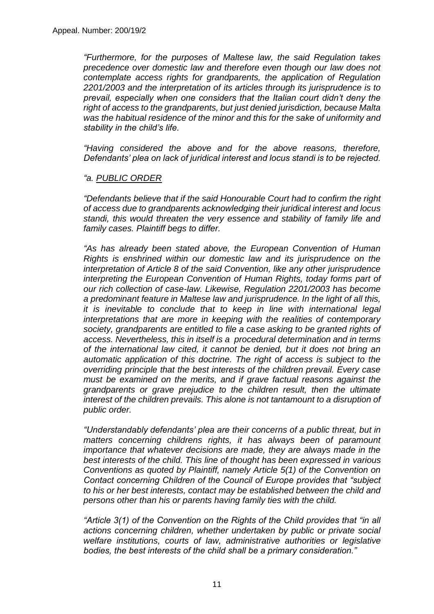*"Furthermore, for the purposes of Maltese law, the said Regulation takes precedence over domestic law and therefore even though our law does not contemplate access rights for grandparents, the application of Regulation 2201/2003 and the interpretation of its articles through its jurisprudence is to prevail, especially when one considers that the Italian court didn't deny the right of access to the grandparents, but just denied jurisdiction, because Malta was the habitual residence of the minor and this for the sake of uniformity and stability in the child's life.*

*"Having considered the above and for the above reasons, therefore, Defendants' plea on lack of juridical interest and locus standi is to be rejected.*

#### *"a. PUBLIC ORDER*

*"Defendants believe that if the said Honourable Court had to confirm the right of access due to grandparents acknowledging their juridical interest and locus standi, this would threaten the very essence and stability of family life and family cases. Plaintiff begs to differ.*

*"As has already been stated above, the European Convention of Human Rights is enshrined within our domestic law and its jurisprudence on the interpretation of Article 8 of the said Convention, like any other jurisprudence interpreting the European Convention of Human Rights, today forms part of our rich collection of case-law. Likewise, Regulation 2201/2003 has become a predominant feature in Maltese law and jurisprudence. In the light of all this, it is inevitable to conclude that to keep in line with international legal interpretations that are more in keeping with the realities of contemporary society, grandparents are entitled to file a case asking to be granted rights of access. Nevertheless, this in itself is a procedural determination and in terms of the international law cited, it cannot be denied, but it does not bring an automatic application of this doctrine. The right of access is subject to the overriding principle that the best interests of the children prevail. Every case must be examined on the merits, and if grave factual reasons against the grandparents or grave prejudice to the children result, then the ultimate interest of the children prevails. This alone is not tantamount to a disruption of public order.*

*"Understandably defendants' plea are their concerns of a public threat, but in matters concerning childrens rights, it has always been of paramount importance that whatever decisions are made, they are always made in the best interests of the child. This line of thought has been expressed in various Conventions as quoted by Plaintiff, namely Article 5(1) of the Convention on Contact concerning Children of the Council of Europe provides that "subject to his or her best interests, contact may be established between the child and persons other than his or parents having family ties with the child.*

*"Article 3(1) of the Convention on the Rights of the Child provides that "in all actions concerning children, whether undertaken by public or private social welfare institutions, courts of law, administrative authorities or legislative bodies, the best interests of the child shall be a primary consideration."*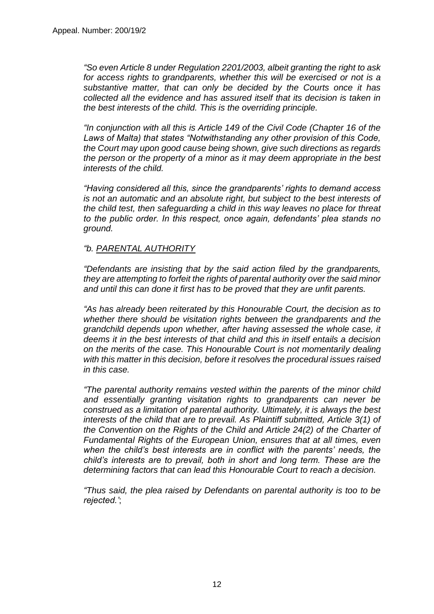*"So even Article 8 under Regulation 2201/2003, albeit granting the right to ask for access rights to grandparents, whether this will be exercised or not is a substantive matter, that can only be decided by the Courts once it has collected all the evidence and has assured itself that its decision is taken in the best interests of the child. This is the overriding principle.*

*"In conjunction with all this is Article 149 of the Civil Code (Chapter 16 of the Laws of Malta) that states "Notwithstanding any other provision of this Code, the Court may upon good cause being shown, give such directions as regards the person or the property of a minor as it may deem appropriate in the best interests of the child.*

*"Having considered all this, since the grandparents' rights to demand access is not an automatic and an absolute right, but subject to the best interests of the child test, then safeguarding a child in this way leaves no place for threat to the public order. In this respect, once again, defendants' plea stands no ground.*

#### *"b. PARENTAL AUTHORITY*

*"Defendants are insisting that by the said action filed by the grandparents, they are attempting to forfeit the rights of parental authority over the said minor and until this can done it first has to be proved that they are unfit parents.*

*"As has already been reiterated by this Honourable Court, the decision as to whether there should be visitation rights between the grandparents and the grandchild depends upon whether, after having assessed the whole case, it deems it in the best interests of that child and this in itself entails a decision on the merits of the case. This Honourable Court is not momentarily dealing with this matter in this decision, before it resolves the procedural issues raised in this case.*

*"The parental authority remains vested within the parents of the minor child and essentially granting visitation rights to grandparents can never be construed as a limitation of parental authority. Ultimately, it is always the best interests of the child that are to prevail. As Plaintiff submitted, Article 3(1) of the Convention on the Rights of the Child and Article 24(2) of the Charter of Fundamental Rights of the European Union, ensures that at all times, even when the child's best interests are in conflict with the parents' needs, the child's interests are to prevail, both in short and long term. These are the determining factors that can lead this Honourable Court to reach a decision.*

*"Thus said, the plea raised by Defendants on parental authority is too to be rejected.'*;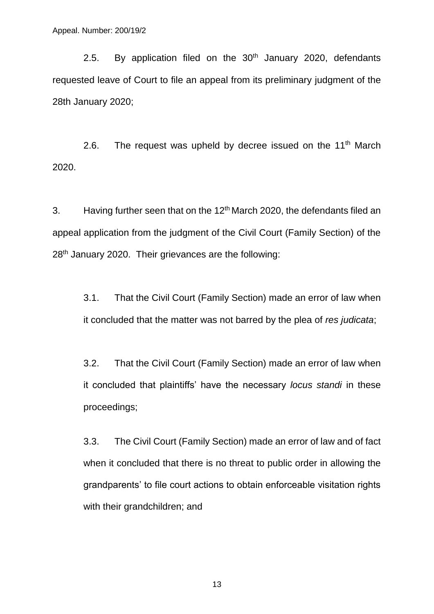2.5. By application filed on the  $30<sup>th</sup>$  January 2020, defendants requested leave of Court to file an appeal from its preliminary judgment of the 28th January 2020;

2.6. The request was upheld by decree issued on the  $11<sup>th</sup>$  March 2020.

3. Having further seen that on the 12<sup>th</sup> March 2020, the defendants filed an appeal application from the judgment of the Civil Court (Family Section) of the 28<sup>th</sup> January 2020. Their grievances are the following:

3.1. That the Civil Court (Family Section) made an error of law when it concluded that the matter was not barred by the plea of *res judicata*;

3.2. That the Civil Court (Family Section) made an error of law when it concluded that plaintiffs' have the necessary *locus standi* in these proceedings;

3.3. The Civil Court (Family Section) made an error of law and of fact when it concluded that there is no threat to public order in allowing the grandparents' to file court actions to obtain enforceable visitation rights with their grandchildren; and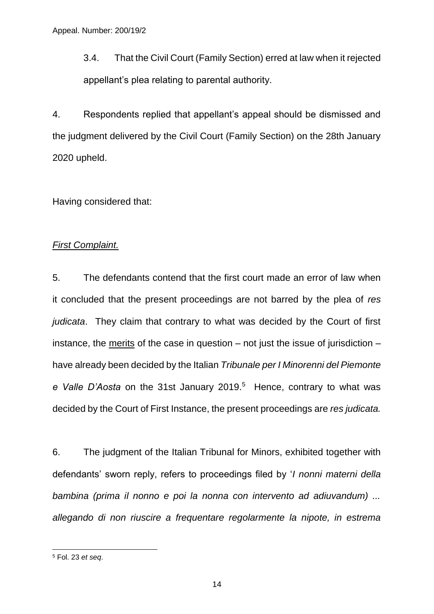3.4. That the Civil Court (Family Section) erred at law when it rejected appellant's plea relating to parental authority.

4. Respondents replied that appellant's appeal should be dismissed and the judgment delivered by the Civil Court (Family Section) on the 28th January 2020 upheld.

Having considered that:

#### *First Complaint.*

5. The defendants contend that the first court made an error of law when it concluded that the present proceedings are not barred by the plea of *res judicata*. They claim that contrary to what was decided by the Court of first instance, the merits of the case in question  $-$  not just the issue of jurisdiction  $$ have already been decided by the Italian *Tribunale per I Minorenni del Piemonte*  e Valle D'Aosta on the 31st January 2019.<sup>5</sup> Hence, contrary to what was decided by the Court of First Instance, the present proceedings are *res judicata.*

6. The judgment of the Italian Tribunal for Minors, exhibited together with defendants' sworn reply, refers to proceedings filed by '*I nonni materni della bambina (prima il nonno e poi la nonna con intervento ad adiuvandum) ... allegando di non riuscire a frequentare regolarmente la nipote, in estrema* 

 $\overline{a}$ 

<sup>5</sup> Fol. 23 *et seq*.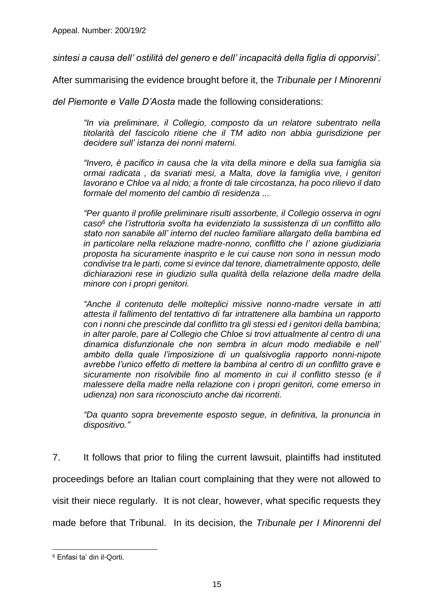*sintesi a causa dell' ostilità del genero e dell' incapacità della figlia di opporvisi'.*

After summarising the evidence brought before it, the *Tribunale per I Minorenni* 

*del Piemonte e Valle D'Aosta* made the following considerations:

*"In via preliminare, il Collegio, composto da un relatore subentrato nella titolarità del fascicolo ritiene che il TM adito non abbia gurisdizione per decidere sull' istanza dei nonni materni.*

*"Invero, è pacifico in causa che la vita della minore e della sua famiglia sia ormai radicata , da svariati mesi, a Malta, dove la famiglia vive, i genitori lavorano e Chloe va al nido; a fronte di tale circostanza, ha poco rilievo il dato formale del momento del cambio di residenza ...* 

*"Per quanto il profile preliminare risulti assorbente, il Collegio osserva in ogni caso<sup>6</sup> che l'istruttoria svolta ha evidenziato la sussistenza di un conflitto allo stato non sanabile all' interno del nucleo familiare allargato della bambina ed in particolare nella relazione madre-nonno, conflitto che l' azione giudiziaria proposta ha sicuramente inasprito e le cui cause non sono in nessun modo condivise tra le parti, come si evince dal tenore, diametralmente opposto, delle dichiarazioni rese in giudizio sulla qualità della relazione della madre della minore con i propri genitori.*

*"Anche il contenuto delle molteplici missive nonno-madre versate in atti attesta il fallimento del tentattivo di far intrattenere alla bambina un rapporto con i nonni che prescinde dal conflitto tra gli stessi ed i genitori della bambina; in alter parole, pare al Collegio che Chloe si trovi attualmente al centro di una dinamica disfunzionale che non sembra in alcun modo mediabile e nell' ambito della quale l'imposizione di un qualsivoglia rapporto nonni-nipote avrebbe l'unico effetto di mettere la bambina al centro di un conflitto grave e sicuramente non risolvibile fino al momento in cui il conflitto stesso (e il malessere della madre nella relazione con i propri genitori, come emerso in udienza) non sara riconosciuto anche dai ricorrenti.* 

*"Da quanto sopra brevemente esposto segue, in definitiva, la pronuncia in dispositivo."*

7. It follows that prior to filing the current lawsuit, plaintiffs had instituted

proceedings before an Italian court complaining that they were not allowed to

visit their niece regularly. It is not clear, however, what specific requests they

made before that Tribunal. In its decision, the *Tribunale per I Minorenni del* 

 $\overline{a}$ <sup>6</sup> Enfasi ta' din il-Qorti.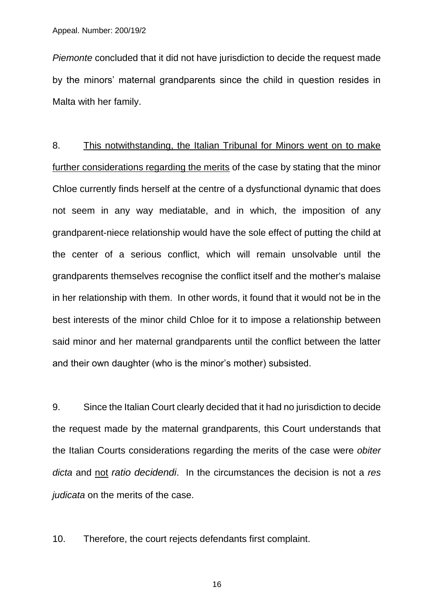*Piemonte* concluded that it did not have jurisdiction to decide the request made by the minors' maternal grandparents since the child in question resides in Malta with her family.

8. This notwithstanding, the Italian Tribunal for Minors went on to make further considerations regarding the merits of the case by stating that the minor Chloe currently finds herself at the centre of a dysfunctional dynamic that does not seem in any way mediatable, and in which, the imposition of any grandparent-niece relationship would have the sole effect of putting the child at the center of a serious conflict, which will remain unsolvable until the grandparents themselves recognise the conflict itself and the mother's malaise in her relationship with them. In other words, it found that it would not be in the best interests of the minor child Chloe for it to impose a relationship between said minor and her maternal grandparents until the conflict between the latter and their own daughter (who is the minor's mother) subsisted.

9. Since the Italian Court clearly decided that it had no jurisdiction to decide the request made by the maternal grandparents, this Court understands that the Italian Courts considerations regarding the merits of the case were *obiter dicta* and not *ratio decidendi*. In the circumstances the decision is not a *res judicata* on the merits of the case.

10. Therefore, the court rejects defendants first complaint.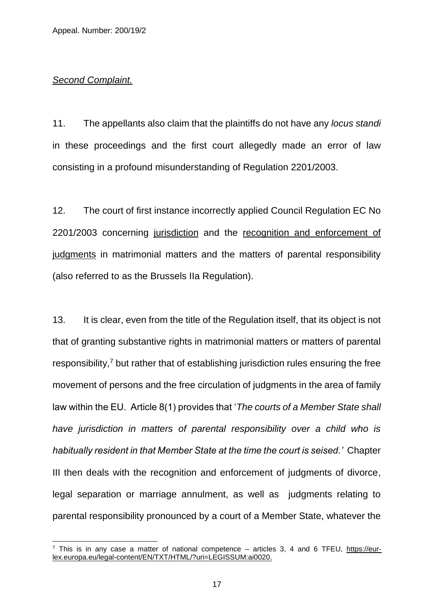#### *Second Complaint.*

-

11. The appellants also claim that the plaintiffs do not have any *locus standi* in these proceedings and the first court allegedly made an error of law consisting in a profound misunderstanding of Regulation 2201/2003.

12. The court of first instance incorrectly applied Council Regulation EC No 2201/2003 concerning jurisdiction and the recognition and enforcement of judgments in matrimonial matters and the matters of parental responsibility (also referred to as the Brussels IIa Regulation).

13. It is clear, even from the title of the Regulation itself, that its object is not that of granting substantive rights in matrimonial matters or matters of parental responsibility.<sup>7</sup> but rather that of establishing jurisdiction rules ensuring the free movement of persons and the free circulation of judgments in the area of family law within the EU. Article 8(1) provides that '*The courts of a Member State shall have jurisdiction in matters of parental responsibility over a child who is habitually resident in that Member State at the time the court is seised.'* Chapter III then deals with the recognition and enforcement of judgments of divorce, legal separation or marriage annulment, as well as judgments relating to parental responsibility pronounced by a court of a Member State, whatever the

 $\frac{7}{1}$  This is in any case a matter of national competence – articles 3, 4 and 6 TFEU, [https://eur](https://eur-lex.europa.eu/legal-content/EN/TXT/HTML/?uri=LEGISSUM:ai0020)[lex.europa.eu/legal-content/EN/TXT/HTML/?uri=LEGISSUM:ai0020.](https://eur-lex.europa.eu/legal-content/EN/TXT/HTML/?uri=LEGISSUM:ai0020)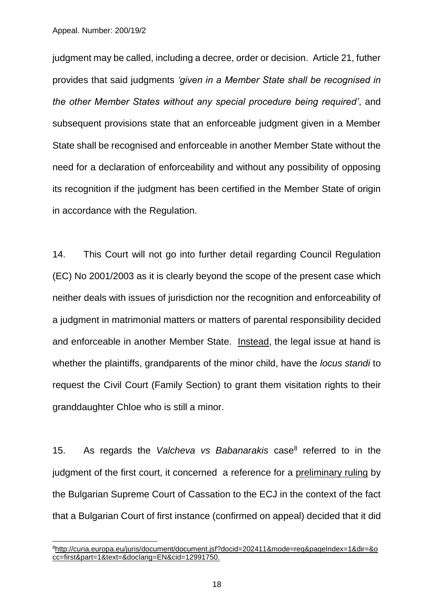Appeal. Number: 200/19/2

-

judgment may be called, including a decree, order or decision. Article 21, futher provides that said judgments *'given in a Member State shall be recognised in the other Member States without any special procedure being required'*, and subsequent provisions state that an enforceable judgment given in a Member State shall be recognised and enforceable in another Member State without the need for a declaration of enforceability and without any possibility of opposing its recognition if the judgment has been certified in the Member State of origin in accordance with the Regulation.

14. This Court will not go into further detail regarding Council Regulation (EC) No 2001/2003 as it is clearly beyond the scope of the present case which neither deals with issues of jurisdiction nor the recognition and enforceability of a judgment in matrimonial matters or matters of parental responsibility decided and enforceable in another Member State. Instead, the legal issue at hand is whether the plaintiffs, grandparents of the minor child, have the *locus standi* to request the Civil Court (Family Section) to grant them visitation rights to their granddaughter Chloe who is still a minor.

15. As regards the Valcheva vs Babanarakis case<sup>8</sup> referred to in the judgment of the first court, it concerned a reference for a preliminary ruling by the Bulgarian Supreme Court of Cassation to the ECJ in the context of the fact that a Bulgarian Court of first instance (confirmed on appeal) decided that it did

<sup>8</sup>[http://curia.europa.eu/juris/document/document.jsf?docid=202411&mode=req&pageIndex=1&dir=&o](http://curia.europa.eu/juris/document/document.jsf?docid=202411&mode=req&pageIndex=1&dir=&occ=first&part=1&text=&doclang=EN&cid=12991750) [cc=first&part=1&text=&doclang=EN&cid=12991750.](http://curia.europa.eu/juris/document/document.jsf?docid=202411&mode=req&pageIndex=1&dir=&occ=first&part=1&text=&doclang=EN&cid=12991750)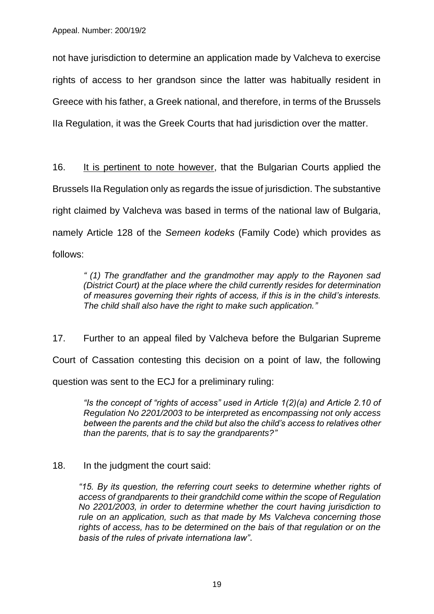not have jurisdiction to determine an application made by Valcheva to exercise rights of access to her grandson since the latter was habitually resident in Greece with his father, a Greek national, and therefore, in terms of the Brussels IIa Regulation, it was the Greek Courts that had jurisdiction over the matter.

16. It is pertinent to note however, that the Bulgarian Courts applied the Brussels IIa Regulation only as regards the issue of jurisdiction. The substantive right claimed by Valcheva was based in terms of the national law of Bulgaria, namely Article 128 of the *Semeen kodeks* (Family Code) which provides as follows:

*" (1) The grandfather and the grandmother may apply to the Rayonen sad (District Court) at the place where the child currently resides for determination of measures governing their rights of access, if this is in the child's interests. The child shall also have the right to make such application."*

17. Further to an appeal filed by Valcheva before the Bulgarian Supreme Court of Cassation contesting this decision on a point of law, the following question was sent to the ECJ for a preliminary ruling:

*"Is the concept of "rights of access" used in Article 1(2)(a) and Article 2.10 of Regulation No 2201/2003 to be interpreted as encompassing not only access between the parents and the child but also the child's access to relatives other than the parents, that is to say the grandparents?"*

# 18. In the judgment the court said:

*"15. By its question, the referring court seeks to determine whether rights of access of grandparents to their grandchild come within the scope of Regulation No 2201/2003, in order to determine whether the court having jurisdiction to rule on an application, such as that made by Ms Valcheva concerning those rights of access, has to be determined on the bais of that regulation or on the basis of the rules of private internationa law"*.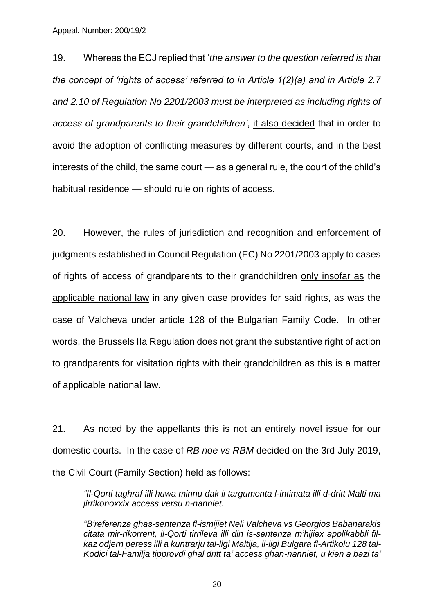Appeal. Number: 200/19/2

19. Whereas the ECJ replied that '*the answer to the question referred is that the concept of 'rights of access' referred to in Article 1(2)(a) and in Article 2.7 and 2.10 of Regulation No 2201/2003 must be interpreted as including rights of access of grandparents to their grandchildren'*, it also decided that in order to avoid the adoption of conflicting measures by different courts, and in the best interests of the child, the same court — as a general rule, the court of the child's habitual residence — should rule on rights of access.

20. However, the rules of jurisdiction and recognition and enforcement of judgments established in Council Regulation (EC) No 2201/2003 apply to cases of rights of access of grandparents to their grandchildren only insofar as the applicable national law in any given case provides for said rights, as was the case of Valcheva under article 128 of the Bulgarian Family Code. In other words, the Brussels IIa Regulation does not grant the substantive right of action to grandparents for visitation rights with their grandchildren as this is a matter of applicable national law.

21. As noted by the appellants this is not an entirely novel issue for our domestic courts. In the case of *RB noe vs RBM* decided on the 3rd July 2019, the Civil Court (Family Section) held as follows:

*"Il-Qorti taghraf illi huwa minnu dak li targumenta l-intimata illi d-dritt Malti ma jirrikonoxxix access versu n-nanniet.*

*"B'referenza ghas-sentenza fl-ismijiet Neli Valcheva vs Georgios Babanarakis citata mir-rikorrent, il-Qorti tirrileva illi din is-sentenza m'hijiex applikabbli filkaz odjern peress illi a kuntrarju tal-ligi Maltija, il-ligi Bulgara fl-Artikolu 128 tal-Kodici tal-Familja tipprovdi ghal dritt ta' access ghan-nanniet, u kien a bazi ta'*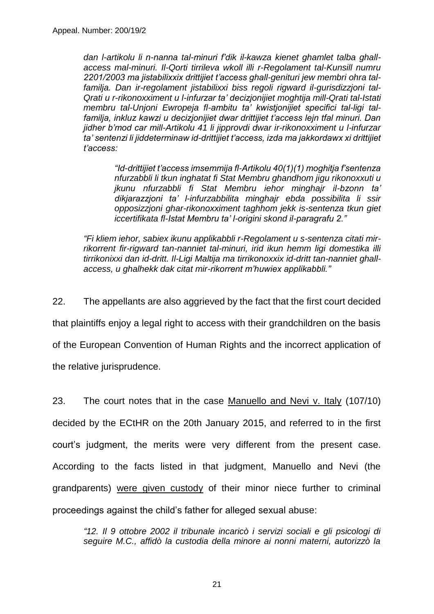*dan l-artikolu li n-nanna tal-minuri f'dik il-kawza kienet ghamlet talba ghallaccess mal-minuri. Il-Qorti tirrileva wkoll illi r-Regolament tal-Kunsill numru 2201/2003 ma jistabilixxix drittijiet t'access ghall-genituri jew membri ohra talfamilja. Dan ir-regolament jistabilixxi biss regoli rigward il-gurisdizzjoni tal-Qrati u r-rikonoxximent u l-infurzar ta' decizjonijiet moghtija mill-Qrati tal-Istati membru tal-Unjoni Ewropeja fl-ambitu ta' kwistjonijiet specifici tal-ligi talfamilja, inkluz kawzi u decizjonijiet dwar drittijiet t'access lejn tfal minuri. Dan jidher b'mod car mill-Artikolu 41 li jipprovdi dwar ir-rikonoxximent u l-infurzar ta' sentenzi li jiddeterminaw id-drittijiet t'access, izda ma jakkordawx xi drittijiet t'access:*

*"Id-drittijiet t'access imsemmija fl-Artikolu 40(1)(1) moghitja f'sentenza nfurzabbli li tkun inghatat fi Stat Membru ghandhom jigu rikonoxxuti u jkunu nfurzabbli fi Stat Membru iehor minghajr il-bzonn ta' dikjarazzjoni ta' l-infurzabbilita minghajr ebda possibilita li ssir opposizzjoni ghar-rikonoxximent taghhom jekk is-sentenza tkun giet iccertifikata fl-Istat Membru ta' l-origini skond il-paragrafu 2."*

*"Fi kliem iehor, sabiex ikunu applikabbli r-Regolament u s-sentenza citati mirrikorrent fir-rigward tan-nanniet tal-minuri, irid ikun hemm ligi domestika illi tirrikonixxi dan id-dritt. Il-Ligi Maltija ma tirrikonoxxix id-dritt tan-nanniet ghallaccess, u ghalhekk dak citat mir-rikorrent m'huwiex applikabbli."*

22. The appellants are also aggrieved by the fact that the first court decided that plaintiffs enjoy a legal right to access with their grandchildren on the basis of the European Convention of Human Rights and the incorrect application of the relative jurisprudence.

23. The court notes that in the case Manuello and Nevi v. Italy (107/10) decided by the ECtHR on the 20th January 2015, and referred to in the first court's judgment, the merits were very different from the present case. According to the facts listed in that judgment, Manuello and Nevi (the grandparents) were given custody of their minor niece further to criminal proceedings against the child's father for alleged sexual abuse:

*"12. Il 9 ottobre 2002 il tribunale incaricò i servizi sociali e gli psicologi di seguire M.C., affidò la custodia della minore ai nonni materni, autorizzò la*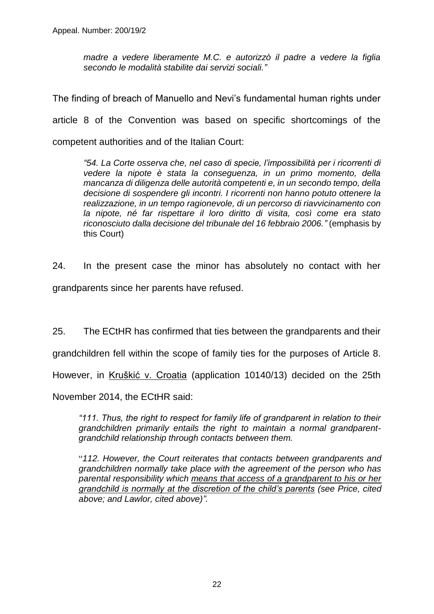*madre a vedere liberamente M.C. e autorizzò il padre a vedere la figlia secondo le modalità stabilite dai servizi sociali."*

The finding of breach of Manuello and Nevi's fundamental human rights under article 8 of the Convention was based on specific shortcomings of the competent authorities and of the Italian Court:

*"54. La Corte osserva che, nel caso di specie, l'impossibilità per i ricorrenti di vedere la nipote è stata la conseguenza, in un primo momento, della mancanza di diligenza delle autorità competenti e, in un secondo tempo, della decisione di sospendere gli incontri. I ricorrenti non hanno potuto ottenere la realizzazione, in un tempo ragionevole, di un percorso di riavvicinamento con la nipote, né far rispettare il loro diritto di visita, così come era stato riconosciuto dalla decisione del tribunale del 16 febbraio 2006."* (emphasis by this Court)

24. In the present case the minor has absolutely no contact with her grandparents since her parents have refused.

25. The ECtHR has confirmed that ties between the grandparents and their

grandchildren fell within the scope of family ties for the purposes of Article 8.

However, in Kruškić v. Croatia (application 10140/13) decided on the 25th

November 2014, the ECtHR said:

*"111. Thus, the right to respect for family life of grandparent in relation to their grandchildren primarily entails the right to maintain a normal grandparentgrandchild relationship through contacts between them.*

"*112. However, the Court reiterates that contacts between grandparents and grandchildren normally take place with the agreement of the person who has parental responsibility which means that access of a grandparent to his or her grandchild is normally at the discretion of the child's parents (see Price, cited above; and Lawlor, cited above)".*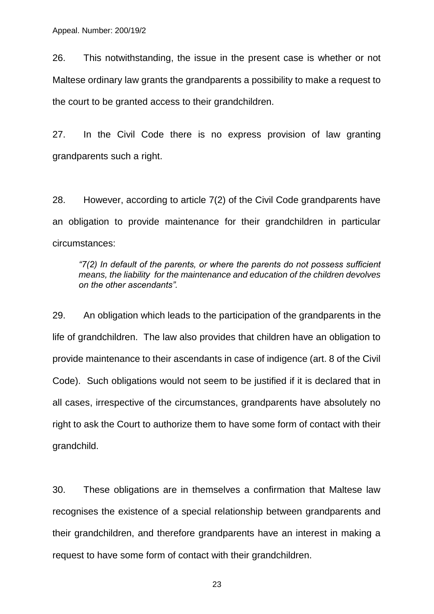26. This notwithstanding, the issue in the present case is whether or not Maltese ordinary law grants the grandparents a possibility to make a request to the court to be granted access to their grandchildren.

27. In the Civil Code there is no express provision of law granting grandparents such a right.

28. However, according to article 7(2) of the Civil Code grandparents have an obligation to provide maintenance for their grandchildren in particular circumstances:

*"7(2) In default of the parents, or where the parents do not possess sufficient means, the liability for the maintenance and education of the children devolves on the other ascendants".* 

29. An obligation which leads to the participation of the grandparents in the life of grandchildren. The law also provides that children have an obligation to provide maintenance to their ascendants in case of indigence (art. 8 of the Civil Code). Such obligations would not seem to be justified if it is declared that in all cases, irrespective of the circumstances, grandparents have absolutely no right to ask the Court to authorize them to have some form of contact with their grandchild.

30. These obligations are in themselves a confirmation that Maltese law recognises the existence of a special relationship between grandparents and their grandchildren, and therefore grandparents have an interest in making a request to have some form of contact with their grandchildren.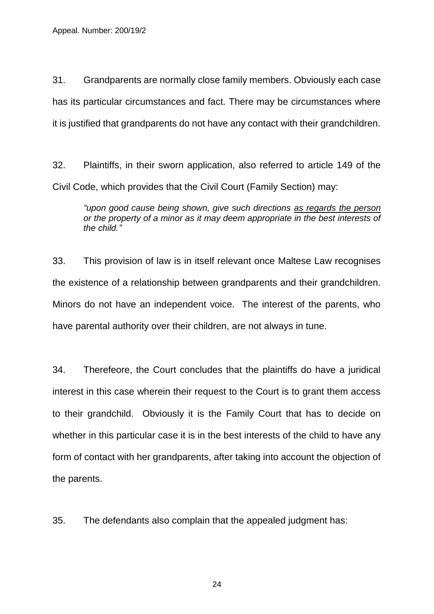31. Grandparents are normally close family members. Obviously each case has its particular circumstances and fact. There may be circumstances where it is justified that grandparents do not have any contact with their grandchildren.

32. Plaintiffs, in their sworn application, also referred to article 149 of the Civil Code, which provides that the Civil Court (Family Section) may:

*"upon good cause being shown, give such directions as regards the person or the property of a minor as it may deem appropriate in the best interests of the child."*

33. This provision of law is in itself relevant once Maltese Law recognises the existence of a relationship between grandparents and their grandchildren. Minors do not have an independent voice. The interest of the parents, who have parental authority over their children, are not always in tune.

34. Therefeore, the Court concludes that the plaintiffs do have a juridical interest in this case wherein their request to the Court is to grant them access to their grandchild. Obviously it is the Family Court that has to decide on whether in this particular case it is in the best interests of the child to have any form of contact with her grandparents, after taking into account the objection of the parents.

35. The defendants also complain that the appealed judgment has: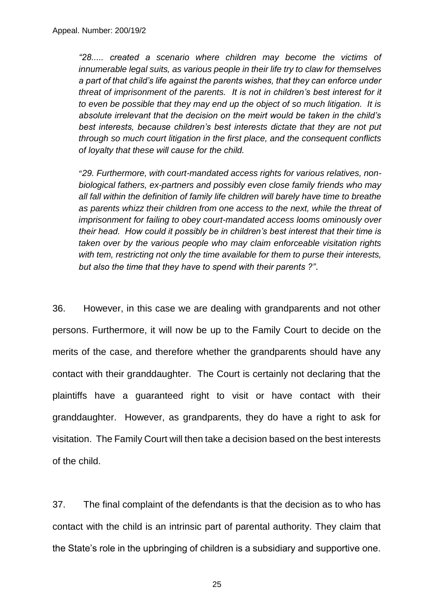*"28..... created a scenario where children may become the victims of innumerable legal suits, as various people in their life try to claw for themselves a part of that child's life against the parents wishes, that they can enforce under threat of imprisonment of the parents. It is not in children's best interest for it to even be possible that they may end up the object of so much litigation. It is absolute irrelevant that the decision on the meirt would be taken in the child's best interests, because children's best interests dictate that they are not put through so much court litigation in the first place, and the consequent conflicts of loyalty that these will cause for the child.*

"*29. Furthermore, with court-mandated access rights for various relatives, nonbiological fathers, ex-partners and possibly even close family friends who may all fall within the definition of family life children will barely have time to breathe as parents whizz their children from one access to the next, while the threat of imprisonment for failing to obey court-mandated access looms ominously over their head. How could it possibly be in children's best interest that their time is taken over by the various people who may claim enforceable visitation rights with tem, restricting not only the time available for them to purse their interests, but also the time that they have to spend with their parents ?"*.

36. However, in this case we are dealing with grandparents and not other persons. Furthermore, it will now be up to the Family Court to decide on the merits of the case, and therefore whether the grandparents should have any contact with their granddaughter. The Court is certainly not declaring that the plaintiffs have a guaranteed right to visit or have contact with their granddaughter. However, as grandparents, they do have a right to ask for visitation. The Family Court will then take a decision based on the best interests of the child.

37. The final complaint of the defendants is that the decision as to who has contact with the child is an intrinsic part of parental authority. They claim that the State's role in the upbringing of children is a subsidiary and supportive one.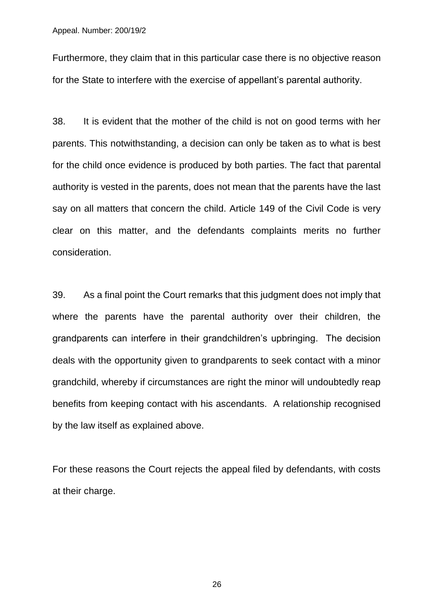Furthermore, they claim that in this particular case there is no objective reason for the State to interfere with the exercise of appellant's parental authority.

38. It is evident that the mother of the child is not on good terms with her parents. This notwithstanding, a decision can only be taken as to what is best for the child once evidence is produced by both parties. The fact that parental authority is vested in the parents, does not mean that the parents have the last say on all matters that concern the child. Article 149 of the Civil Code is very clear on this matter, and the defendants complaints merits no further consideration.

39. As a final point the Court remarks that this judgment does not imply that where the parents have the parental authority over their children, the grandparents can interfere in their grandchildren's upbringing. The decision deals with the opportunity given to grandparents to seek contact with a minor grandchild, whereby if circumstances are right the minor will undoubtedly reap benefits from keeping contact with his ascendants. A relationship recognised by the law itself as explained above.

For these reasons the Court rejects the appeal filed by defendants, with costs at their charge.